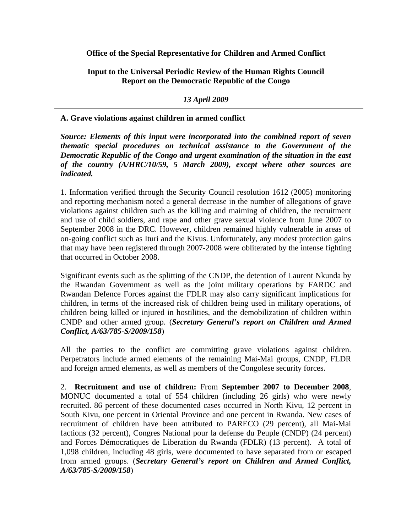**Office of the Special Representative for Children and Armed Conflict** 

**Input to the Universal Periodic Review of the Human Rights Council Report on the Democratic Republic of the Congo** 

*13 April 2009* 

## **A. Grave violations against children in armed conflict**

*Source: Elements of this input were incorporated into the combined report of seven thematic special procedures on technical assistance to the Government of the Democratic Republic of the Congo and urgent examination of the situation in the east of the country (A/HRC/10/59, 5 March 2009), except where other sources are indicated.* 

1. Information verified through the Security Council resolution 1612 (2005) monitoring and reporting mechanism noted a general decrease in the number of allegations of grave violations against children such as the killing and maiming of children, the recruitment and use of child soldiers, and rape and other grave sexual violence from June 2007 to September 2008 in the DRC. However, children remained highly vulnerable in areas of on-going conflict such as Ituri and the Kivus. Unfortunately, any modest protection gains that may have been registered through 2007-2008 were obliterated by the intense fighting that occurred in October 2008.

Significant events such as the splitting of the CNDP, the detention of Laurent Nkunda by the Rwandan Government as well as the joint military operations by FARDC and Rwandan Defence Forces against the FDLR may also carry significant implications for children, in terms of the increased risk of children being used in military operations, of children being killed or injured in hostilities, and the demobilization of children within CNDP and other armed group. (*Secretary General's report on Children and Armed Conflict, A/63/785-S/2009/158*)

All the parties to the conflict are committing grave violations against children. Perpetrators include armed elements of the remaining Mai-Mai groups, CNDP, FLDR and foreign armed elements, as well as members of the Congolese security forces.

2. **Recruitment and use of children:** From **September 2007 to December 2008**, MONUC documented a total of 554 children (including 26 girls) who were newly recruited. 86 percent of these documented cases occurred in North Kivu, 12 percent in South Kivu, one percent in Oriental Province and one percent in Rwanda. New cases of recruitment of children have been attributed to PARECO (29 percent), all Mai-Mai factions (32 percent), Congres National pour la defense du Peuple (CNDP) (24 percent) and Forces Démocratiques de Liberation du Rwanda (FDLR) (13 percent). A total of 1,098 children, including 48 girls, were documented to have separated from or escaped from armed groups. (*Secretary General's report on Children and Armed Conflict, A/63/785-S/2009/158*)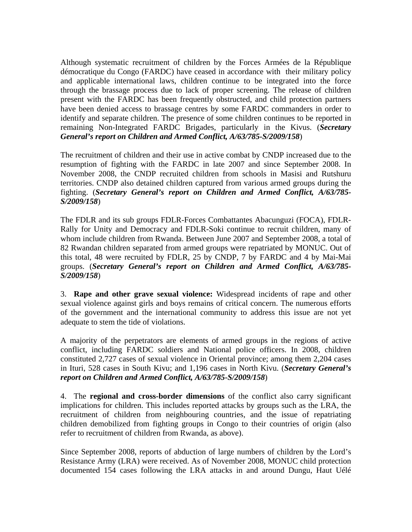Although systematic recruitment of children by the Forces Armées de la République démocratique du Congo (FARDC) have ceased in accordance with their military policy and applicable international laws, children continue to be integrated into the force through the brassage process due to lack of proper screening. The release of children present with the FARDC has been frequently obstructed, and child protection partners have been denied access to brassage centres by some FARDC commanders in order to identify and separate children. The presence of some children continues to be reported in remaining Non-Integrated FARDC Brigades, particularly in the Kivus. (*Secretary General's report on Children and Armed Conflict, A/63/785-S/2009/158*)

The recruitment of children and their use in active combat by CNDP increased due to the resumption of fighting with the FARDC in late 2007 and since September 2008. In November 2008, the CNDP recruited children from schools in Masisi and Rutshuru territories. CNDP also detained children captured from various armed groups during the fighting. (*Secretary General's report on Children and Armed Conflict, A/63/785- S/2009/158*)

The FDLR and its sub groups FDLR-Forces Combattantes Abacunguzi (FOCA), FDLR-Rally for Unity and Democracy and FDLR-Soki continue to recruit children, many of whom include children from Rwanda. Between June 2007 and September 2008, a total of 82 Rwandan children separated from armed groups were repatriated by MONUC. Out of this total, 48 were recruited by FDLR, 25 by CNDP, 7 by FARDC and 4 by Mai-Mai groups. (*Secretary General's report on Children and Armed Conflict, A/63/785- S/2009/158*)

3. **Rape and other grave sexual violence:** Widespread incidents of rape and other sexual violence against girls and boys remains of critical concern. The numerous efforts of the government and the international community to address this issue are not yet adequate to stem the tide of violations.

A majority of the perpetrators are elements of armed groups in the regions of active conflict, including FARDC soldiers and National police officers. In 2008, children constituted 2,727 cases of sexual violence in Oriental province; among them 2,204 cases in Ituri, 528 cases in South Kivu; and 1,196 cases in North Kivu. (*Secretary General's report on Children and Armed Conflict, A/63/785-S/2009/158*)

4. The **regional and cross-border dimensions** of the conflict also carry significant implications for children. This includes reported attacks by groups such as the LRA, the recruitment of children from neighbouring countries, and the issue of repatriating children demobilized from fighting groups in Congo to their countries of origin (also refer to recruitment of children from Rwanda, as above).

Since September 2008, reports of abduction of large numbers of children by the Lord's Resistance Army (LRA) were received. As of November 2008, MONUC child protection documented 154 cases following the LRA attacks in and around Dungu, Haut Uélé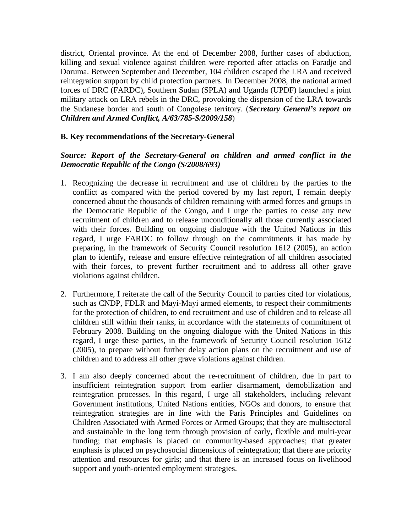district, Oriental province. At the end of December 2008, further cases of abduction, killing and sexual violence against children were reported after attacks on Faradje and Doruma. Between September and December, 104 children escaped the LRA and received reintegration support by child protection partners. In December 2008, the national armed forces of DRC (FARDC), Southern Sudan (SPLA) and Uganda (UPDF) launched a joint military attack on LRA rebels in the DRC, provoking the dispersion of the LRA towards the Sudanese border and south of Congolese territory. (*Secretary General's report on Children and Armed Conflict, A/63/785-S/2009/158*)

## **B. Key recommendations of the Secretary-General**

# *Source: Report of the Secretary-General on children and armed conflict in the Democratic Republic of the Congo (S/2008/693)*

- 1. Recognizing the decrease in recruitment and use of children by the parties to the conflict as compared with the period covered by my last report, I remain deeply concerned about the thousands of children remaining with armed forces and groups in the Democratic Republic of the Congo, and I urge the parties to cease any new recruitment of children and to release unconditionally all those currently associated with their forces. Building on ongoing dialogue with the United Nations in this regard, I urge FARDC to follow through on the commitments it has made by preparing, in the framework of Security Council resolution 1612 (2005), an action plan to identify, release and ensure effective reintegration of all children associated with their forces, to prevent further recruitment and to address all other grave violations against children.
- 2. Furthermore, I reiterate the call of the Security Council to parties cited for violations, such as CNDP, FDLR and Mayi-Mayi armed elements, to respect their commitments for the protection of children, to end recruitment and use of children and to release all children still within their ranks, in accordance with the statements of commitment of February 2008. Building on the ongoing dialogue with the United Nations in this regard, I urge these parties, in the framework of Security Council resolution 1612 (2005), to prepare without further delay action plans on the recruitment and use of children and to address all other grave violations against children.
- 3. I am also deeply concerned about the re-recruitment of children, due in part to insufficient reintegration support from earlier disarmament, demobilization and reintegration processes. In this regard, I urge all stakeholders, including relevant Government institutions, United Nations entities, NGOs and donors, to ensure that reintegration strategies are in line with the Paris Principles and Guidelines on Children Associated with Armed Forces or Armed Groups; that they are multisectoral and sustainable in the long term through provision of early, flexible and multi-year funding; that emphasis is placed on community-based approaches; that greater emphasis is placed on psychosocial dimensions of reintegration; that there are priority attention and resources for girls; and that there is an increased focus on livelihood support and youth-oriented employment strategies.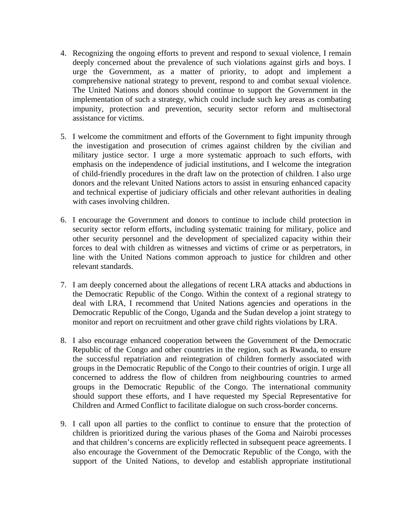- 4. Recognizing the ongoing efforts to prevent and respond to sexual violence, I remain deeply concerned about the prevalence of such violations against girls and boys. I urge the Government, as a matter of priority, to adopt and implement a comprehensive national strategy to prevent, respond to and combat sexual violence. The United Nations and donors should continue to support the Government in the implementation of such a strategy, which could include such key areas as combating impunity, protection and prevention, security sector reform and multisectoral assistance for victims.
- 5. I welcome the commitment and efforts of the Government to fight impunity through the investigation and prosecution of crimes against children by the civilian and military justice sector. I urge a more systematic approach to such efforts, with emphasis on the independence of judicial institutions, and I welcome the integration of child-friendly procedures in the draft law on the protection of children. I also urge donors and the relevant United Nations actors to assist in ensuring enhanced capacity and technical expertise of judiciary officials and other relevant authorities in dealing with cases involving children.
- 6. I encourage the Government and donors to continue to include child protection in security sector reform efforts, including systematic training for military, police and other security personnel and the development of specialized capacity within their forces to deal with children as witnesses and victims of crime or as perpetrators, in line with the United Nations common approach to justice for children and other relevant standards.
- 7. I am deeply concerned about the allegations of recent LRA attacks and abductions in the Democratic Republic of the Congo. Within the context of a regional strategy to deal with LRA, I recommend that United Nations agencies and operations in the Democratic Republic of the Congo, Uganda and the Sudan develop a joint strategy to monitor and report on recruitment and other grave child rights violations by LRA.
- 8. I also encourage enhanced cooperation between the Government of the Democratic Republic of the Congo and other countries in the region, such as Rwanda, to ensure the successful repatriation and reintegration of children formerly associated with groups in the Democratic Republic of the Congo to their countries of origin. I urge all concerned to address the flow of children from neighbouring countries to armed groups in the Democratic Republic of the Congo. The international community should support these efforts, and I have requested my Special Representative for Children and Armed Conflict to facilitate dialogue on such cross-border concerns.
- 9. I call upon all parties to the conflict to continue to ensure that the protection of children is prioritized during the various phases of the Goma and Nairobi processes and that children's concerns are explicitly reflected in subsequent peace agreements. I also encourage the Government of the Democratic Republic of the Congo, with the support of the United Nations, to develop and establish appropriate institutional